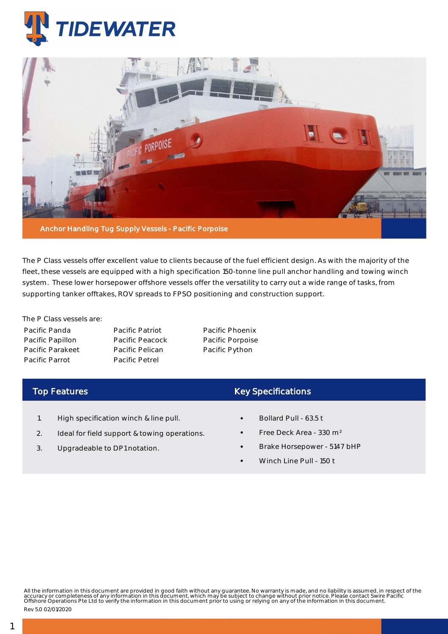



The P Class vessels offer excellent value to clients because of the fuel efficient design. As with the majority of the fleet, these vessels are equipped with a high specification 150-tonne line pull anchor handling and towing winch system. These lower horsepower offshore vessels offer the versatility to carry out a wide range of tasks, from supporting tanker offtakes, ROV spreads to FPSO positioning and construction support.

The P Class vessels are: Pacific Panda Pacific Papillon Pacific Parakeet Pacific Parrot

Pacific Patriot Pacific Peacock Pacific Pelican Pacific Petrel

Pacific Phoenix Pacific Porpoise Pacific Python

## Top Features

- 1. High specification winch & line pull.
- 2. Ideal for field support & towing operations.
- 3. Upgradeable to DP1 notation.

## Key Specifications

- Bollard Pull 63.5 t
- Free Deck Area 330 m²
- Brake Horsepower 5147 bHP
- Winch Line Pull 150 t

All the information in this document are provided in good faith without any guarantee. No warranty is made, and no liability is assumed, in respect of the<br>accuracy or completeness of any information in this document, which

Rev 5.0 02/01/2020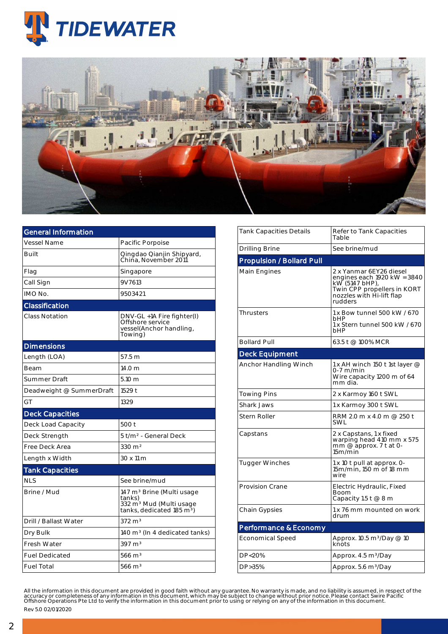



| <b>General Information</b> |                                                                                                                                 |  |  |  |  |
|----------------------------|---------------------------------------------------------------------------------------------------------------------------------|--|--|--|--|
| Vessel Name                | Pacific Porpoise                                                                                                                |  |  |  |  |
| Built                      | Qingdao Qianjin Shipyard,<br>China. November 2011                                                                               |  |  |  |  |
| Flag                       | Singapore                                                                                                                       |  |  |  |  |
| Call Sign                  | 9V7613                                                                                                                          |  |  |  |  |
| IMO No.                    | 9503421                                                                                                                         |  |  |  |  |
| Classification             |                                                                                                                                 |  |  |  |  |
| <b>Class Notation</b>      | DNV-GL +1A Fire fighter(I)<br>Offshore service<br>vessel(Anchor handling,<br>Towing)                                            |  |  |  |  |
| <b>Dimensions</b>          |                                                                                                                                 |  |  |  |  |
| Length (LOA)               | 57.5 m                                                                                                                          |  |  |  |  |
| Beam                       | 14.0 <sub>m</sub>                                                                                                               |  |  |  |  |
| Summer Draft               | 5.10 m                                                                                                                          |  |  |  |  |
| Deadweight @ SummerDraft   | 1529 t                                                                                                                          |  |  |  |  |
| GT                         | 1329                                                                                                                            |  |  |  |  |
| <b>Deck Capacities</b>     |                                                                                                                                 |  |  |  |  |
| Deck Load Capacity         | 500 t                                                                                                                           |  |  |  |  |
| Deck Strength              | 5 t/m <sup>2</sup> - General Deck                                                                                               |  |  |  |  |
| Free Deck Area             | 330 m <sup>2</sup>                                                                                                              |  |  |  |  |
| Length x Width             | 30 x 11 m                                                                                                                       |  |  |  |  |
| <b>Tank Capacities</b>     |                                                                                                                                 |  |  |  |  |
| <b>NLS</b>                 | See brine/mud                                                                                                                   |  |  |  |  |
| Brine / Mud                | 147 m <sup>3</sup> Brine (Multi usage<br>tanks)<br>332 m <sup>3</sup> Mud (Multi usage<br>tanks, dedicated 185 m <sup>3</sup> ) |  |  |  |  |
| Drill / Ballast Water      | $372 \text{ m}^3$                                                                                                               |  |  |  |  |
| Dry Bulk                   | 140 $m3$ (In 4 dedicated tanks)                                                                                                 |  |  |  |  |
| <b>Fresh Water</b>         | $397 \text{ m}^3$                                                                                                               |  |  |  |  |
| <b>Fuel Dedicated</b>      | $566 \text{ m}^3$                                                                                                               |  |  |  |  |
| <b>Fuel Total</b>          | $566 \text{ m}^3$                                                                                                               |  |  |  |  |

| Tank Capacities Details          | Refer to Tank Capacities<br>Table                                                                                                               |  |  |  |  |
|----------------------------------|-------------------------------------------------------------------------------------------------------------------------------------------------|--|--|--|--|
| Drilling Brine                   | See brine/mud                                                                                                                                   |  |  |  |  |
| <b>Propulsion / Bollard Pull</b> |                                                                                                                                                 |  |  |  |  |
| Main Engines                     | 2 x Yanmar 6EY26 diesel<br>engines each 1920 kW = 3840<br>kW (5147 bHP),<br>Twin CPP propellers in KORT<br>nozzles with Hi-lift flap<br>rudders |  |  |  |  |
| <b>Thrusters</b>                 | 1 x Bow tunnel 500 kW / 670<br>bHP<br>1 x Stern tunnel 500 kW / 670<br>bHP                                                                      |  |  |  |  |
| <b>Bollard Pull</b>              | 63.5 t @ 100% MCR                                                                                                                               |  |  |  |  |
| <b>Deck Equipment</b>            |                                                                                                                                                 |  |  |  |  |
| Anchor Handling Winch            | 1 x AH winch 150 t 1st layer $@$<br>0-7 m/min<br>Wire capacity 1200 m of 64<br>mm dia.                                                          |  |  |  |  |
| Towing Pins                      | 2 x Karmoy 160 t SWL                                                                                                                            |  |  |  |  |
| Shark Jaws                       | 1 x Karmoy 300 t SWL                                                                                                                            |  |  |  |  |
| Stern Roller                     | RRM 2.0 m x 4.0 m @ 250 t<br>SWL                                                                                                                |  |  |  |  |
| Capstans                         | 2 x Capstans, 1 x fixed<br>warping head 410 mm x 575<br>mm @ approx. 7 t at 0-<br>15m/min                                                       |  |  |  |  |
| <b>Tugger Winches</b>            | 1 x 10 t pull at approx. 0-<br>15m/min, 150 m of 18 mm<br>wire                                                                                  |  |  |  |  |
| Provision Crane                  | Electric Hydraulic, Fixed<br>Boom<br>Capacity 1.5 $t@8m$                                                                                        |  |  |  |  |
| Chain Gypsies                    | 1 x 76 mm mounted on work<br>drum                                                                                                               |  |  |  |  |
| Performance & Economy            |                                                                                                                                                 |  |  |  |  |
| Economical Speed                 | Approx. 10.5 m <sup>3</sup> /Day @ 10<br>knots                                                                                                  |  |  |  |  |
| DP<20%                           | Approx. 4.5 m <sup>3</sup> /Day                                                                                                                 |  |  |  |  |
| DP > 35%                         | Approx. 5.6 m <sup>3</sup> /Day                                                                                                                 |  |  |  |  |
|                                  |                                                                                                                                                 |  |  |  |  |

All the information in this document are provided in good faith without any guarantee. No warranty is made, and no liability is assumed, in respect of the<br>accuracy or completeness of any information in this document, which Rev 5.0 02/01/2020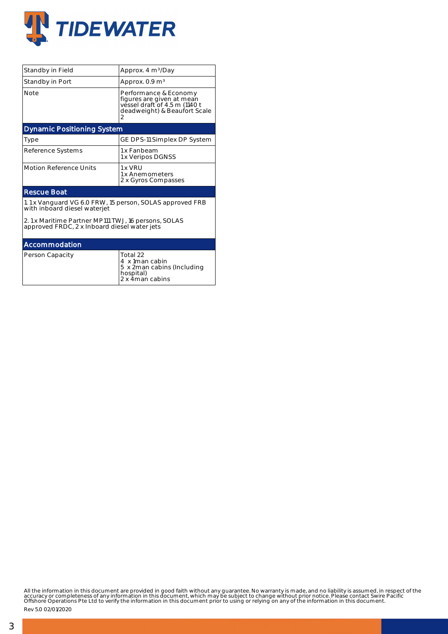

| Standby in Field                                                                                    | Approx. 4 m <sup>3</sup> /Day                                                                                            |  |  |  |  |  |
|-----------------------------------------------------------------------------------------------------|--------------------------------------------------------------------------------------------------------------------------|--|--|--|--|--|
| Standby in Port                                                                                     | Approx. 0.9 m <sup>3</sup>                                                                                               |  |  |  |  |  |
| Note                                                                                                | Performance & Economy<br>figures are given at mean<br>vessel draft of 4.5 m (1140 t<br>deadweight) & Beaufort Scale<br>2 |  |  |  |  |  |
| <b>Dynamic Positioning System</b>                                                                   |                                                                                                                          |  |  |  |  |  |
| Type                                                                                                | GE DPS-11 Simplex DP System                                                                                              |  |  |  |  |  |
| Reference Systems                                                                                   | 1 x Fanbeam<br>1 x Veripos DGNSS                                                                                         |  |  |  |  |  |
| <b>Motion Reference Units</b>                                                                       | 1 x VRU<br>1 x Anemometers<br>2 x Gyros Compasses                                                                        |  |  |  |  |  |
| <b>Rescue Boat</b>                                                                                  |                                                                                                                          |  |  |  |  |  |
| 1.1 x Vanguard VG 6.0 FRW, 15 person, SOLAS approved FRB<br>with inboard diesel waterjet            |                                                                                                                          |  |  |  |  |  |
| 2.1 x Maritime Partner MP111 TWJ, 16 persons, SOLAS<br>approved FRDC, 2 x Inboard diesel water jets |                                                                                                                          |  |  |  |  |  |
| Accommodation                                                                                       |                                                                                                                          |  |  |  |  |  |
| Person Capacity                                                                                     | Total 22<br>4 x 1man cabin<br>5 x 2man cabins (Including<br>hospital)<br>2 x 4man cabins                                 |  |  |  |  |  |

All the information in this document are provided in good faith without any guarantee. No warranty is made, and no liability is assumed, in respect of the<br>accuracy or completeness of any information in this document, which

Rev 5.0 02/01/2020